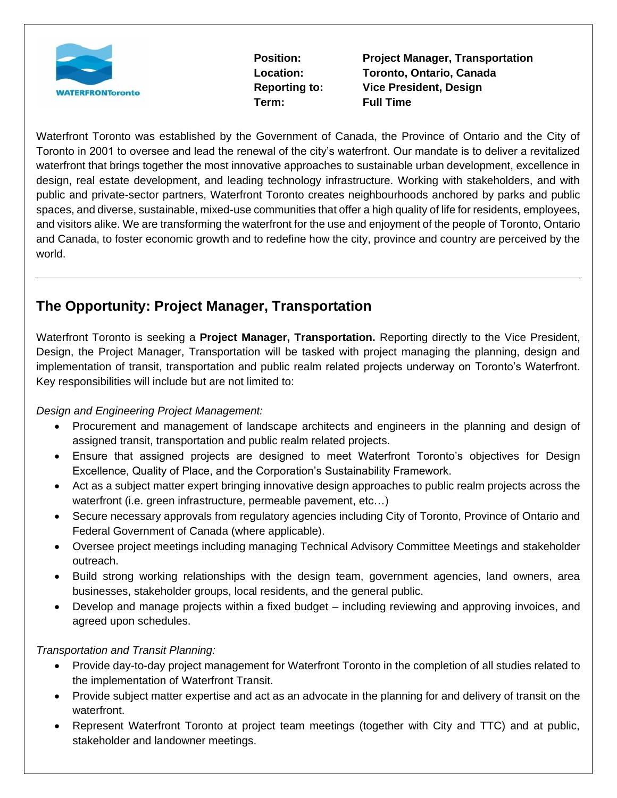

**Term: Full Time**

**Position: Project Manager, Transportation Location: Toronto, Ontario, Canada Reporting to: Vice President, Design**

Waterfront Toronto was established by the Government of Canada, the Province of Ontario and the City of Toronto in 2001 to oversee and lead the renewal of the city's waterfront. Our mandate is to deliver a revitalized waterfront that brings together the most innovative approaches to sustainable urban development, excellence in design, real estate development, and leading technology infrastructure. Working with stakeholders, and with public and private-sector partners, Waterfront Toronto creates neighbourhoods anchored by parks and public spaces, and diverse, sustainable, mixed-use communities that offer a high quality of life for residents, employees, and visitors alike. We are transforming the waterfront for the use and enjoyment of the people of Toronto, Ontario and Canada, to foster economic growth and to redefine how the city, province and country are perceived by the world.

# **The Opportunity: Project Manager, Transportation**

Waterfront Toronto is seeking a **Project Manager, Transportation.** Reporting directly to the Vice President, Design, the Project Manager, Transportation will be tasked with project managing the planning, design and implementation of transit, transportation and public realm related projects underway on Toronto's Waterfront. Key responsibilities will include but are not limited to:

### *Design and Engineering Project Management:*

- Procurement and management of landscape architects and engineers in the planning and design of assigned transit, transportation and public realm related projects.
- Ensure that assigned projects are designed to meet Waterfront Toronto's objectives for Design Excellence, Quality of Place, and the Corporation's Sustainability Framework.
- Act as a subject matter expert bringing innovative design approaches to public realm projects across the waterfront (i.e. green infrastructure, permeable pavement, etc…)
- Secure necessary approvals from regulatory agencies including City of Toronto, Province of Ontario and Federal Government of Canada (where applicable).
- Oversee project meetings including managing Technical Advisory Committee Meetings and stakeholder outreach.
- Build strong working relationships with the design team, government agencies, land owners, area businesses, stakeholder groups, local residents, and the general public.
- Develop and manage projects within a fixed budget including reviewing and approving invoices, and agreed upon schedules.

### *Transportation and Transit Planning:*

- Provide day-to-day project management for Waterfront Toronto in the completion of all studies related to the implementation of Waterfront Transit.
- Provide subject matter expertise and act as an advocate in the planning for and delivery of transit on the waterfront.
- Represent Waterfront Toronto at project team meetings (together with City and TTC) and at public, stakeholder and landowner meetings.